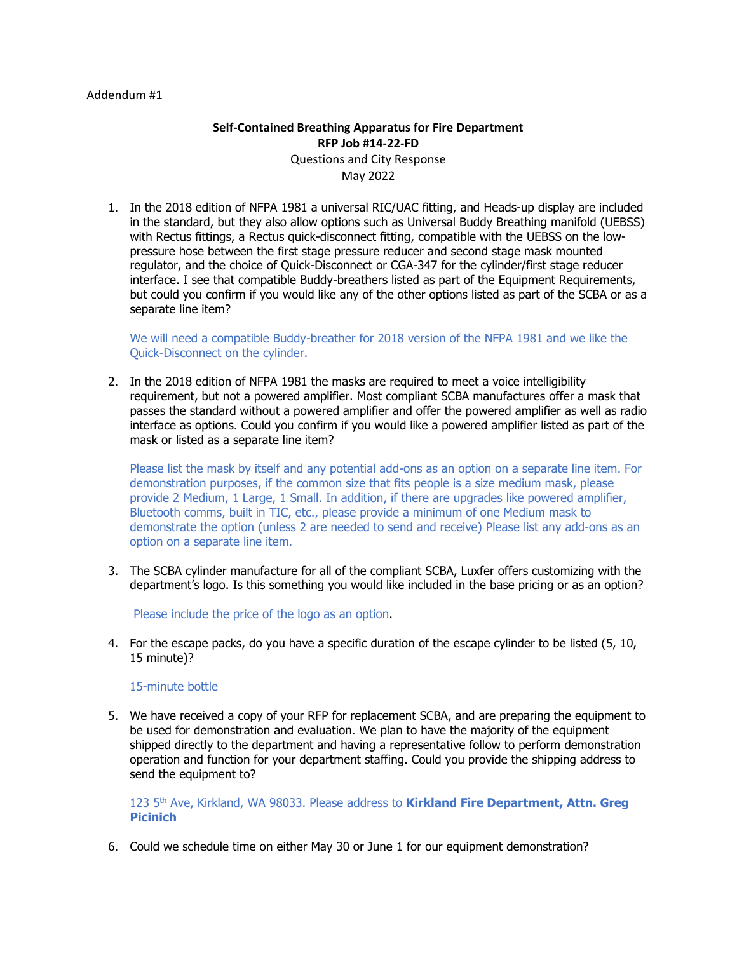#### Addendum #1

# **Self-Contained Breathing Apparatus for Fire Department RFP Job #14-22-FD** Questions and City Response May 2022

1. In the 2018 edition of NFPA 1981 a universal RIC/UAC fitting, and Heads-up display are included in the standard, but they also allow options such as Universal Buddy Breathing manifold (UEBSS) with Rectus fittings, a Rectus quick-disconnect fitting, compatible with the UEBSS on the lowpressure hose between the first stage pressure reducer and second stage mask mounted regulator, and the choice of Quick-Disconnect or CGA-347 for the cylinder/first stage reducer interface. I see that compatible Buddy-breathers listed as part of the Equipment Requirements, but could you confirm if you would like any of the other options listed as part of the SCBA or as a separate line item?

We will need a compatible Buddy-breather for 2018 version of the NFPA 1981 and we like the Quick-Disconnect on the cylinder.

2. In the 2018 edition of NFPA 1981 the masks are required to meet a voice intelligibility requirement, but not a powered amplifier. Most compliant SCBA manufactures offer a mask that passes the standard without a powered amplifier and offer the powered amplifier as well as radio interface as options. Could you confirm if you would like a powered amplifier listed as part of the mask or listed as a separate line item?

Please list the mask by itself and any potential add-ons as an option on a separate line item. For demonstration purposes, if the common size that fits people is a size medium mask, please provide 2 Medium, 1 Large, 1 Small. In addition, if there are upgrades like powered amplifier, Bluetooth comms, built in TIC, etc., please provide a minimum of one Medium mask to demonstrate the option (unless 2 are needed to send and receive) Please list any add-ons as an option on a separate line item.

3. The SCBA cylinder manufacture for all of the compliant SCBA, Luxfer offers customizing with the department's logo. Is this something you would like included in the base pricing or as an option?

Please include the price of the logo as an option.

4. For the escape packs, do you have a specific duration of the escape cylinder to be listed (5, 10, 15 minute)?

# 15-minute bottle

5. We have received a copy of your RFP for replacement SCBA, and are preparing the equipment to be used for demonstration and evaluation. We plan to have the majority of the equipment shipped directly to the department and having a representative follow to perform demonstration operation and function for your department staffing. Could you provide the shipping address to send the equipment to?

123 5th Ave, Kirkland, WA 98033. Please address to **Kirkland Fire Department, Attn. Greg Picinich**

6. Could we schedule time on either May 30 or June 1 for our equipment demonstration?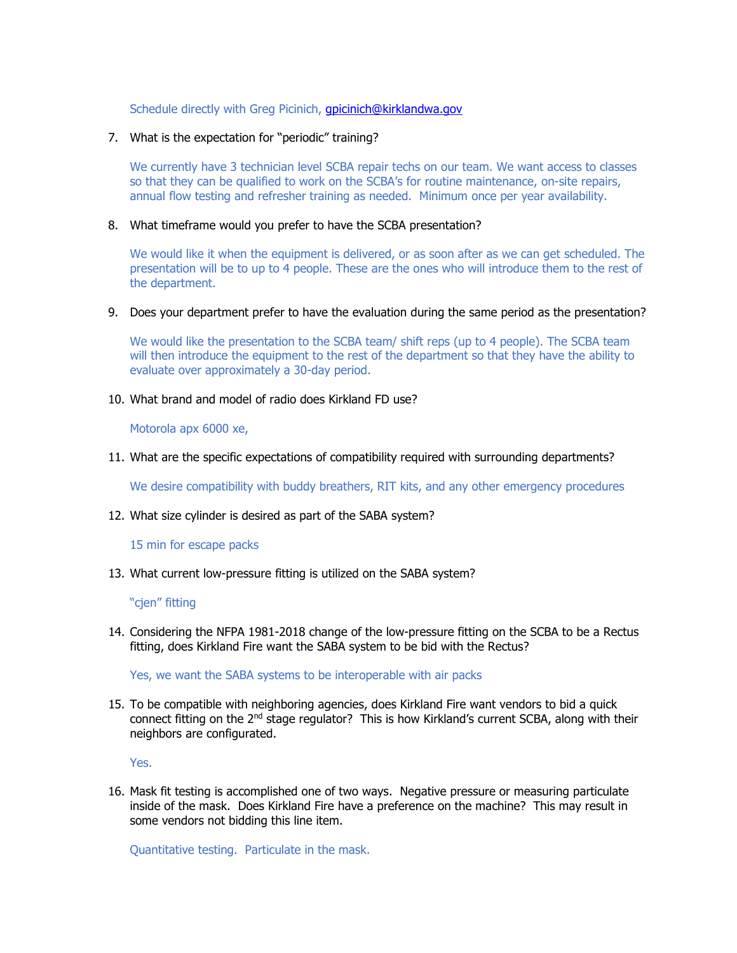Schedule directly with Greg Picinich, *gpicinich@kirklandwa.gov* 

# 7. What is the expectation for "periodic" training?

We currently have 3 technician level SCBA repair techs on our team. We want access to classes so that they can be qualified to work on the SCBA's for routine maintenance, on-site repairs, annual flow testing and refresher training as needed. Minimum once per year availability.

### 8. What timeframe would you prefer to have the SCBA presentation?

We would like it when the equipment is delivered, or as soon after as we can get scheduled. The presentation will be to up to 4 people. These are the ones who will introduce them to the rest of the department.

#### 9. Does your department prefer to have the evaluation during the same period as the presentation?

We would like the presentation to the SCBA team/ shift reps (up to 4 people). The SCBA team will then introduce the equipment to the rest of the department so that they have the ability to evaluate over approximately a 30-day period.

# 10. What brand and model of radio does Kirkland FD use?

Motorola apx 6000 xe,

11. What are the specific expectations of compatibility required with surrounding departments?

We desire compatibility with buddy breathers, RIT kits, and any other emergency procedures

12. What size cylinder is desired as part of the SABA system?

15 min for escape packs

13. What current low-pressure fitting is utilized on the SABA system?

#### "cjen" fitting

14. Considering the NFPA 1981-2018 change of the low-pressure fitting on the SCBA to be a Rectus fitting, does Kirkland Fire want the SABA system to be bid with the Rectus?

Yes, we want the SABA systems to be interoperable with air packs

15. To be compatible with neighboring agencies, does Kirkland Fire want vendors to bid a quick connect fitting on the 2<sup>nd</sup> stage regulator? This is how Kirkland's current SCBA, along with their neighbors are configurated.

Yes.

16. Mask fit testing is accomplished one of two ways. Negative pressure or measuring particulate inside of the mask. Does Kirkland Fire have a preference on the machine? This may result in some vendors not bidding this line item.

Quantitative testing. Particulate in the mask.